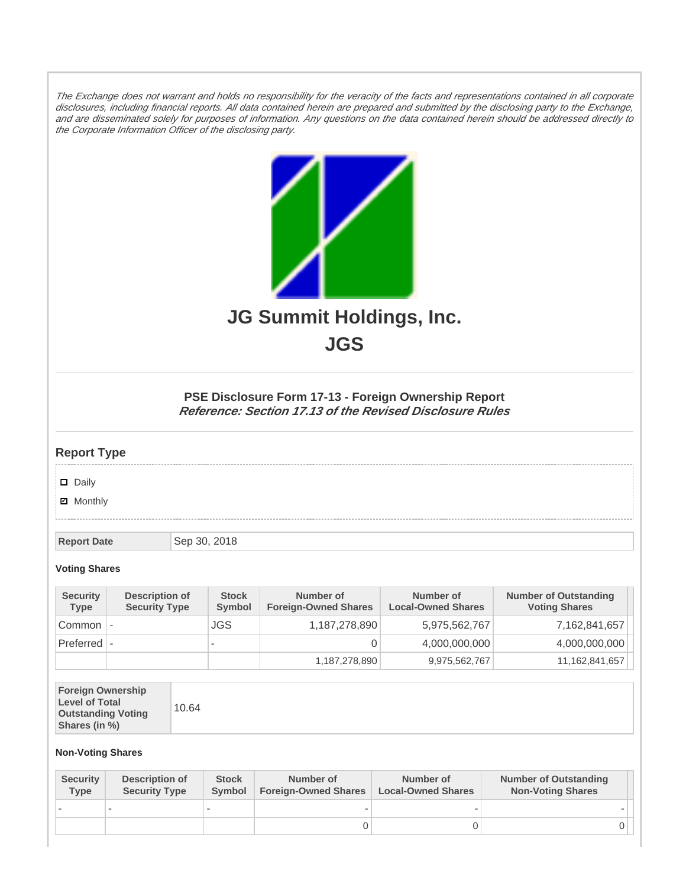The Exchange does not warrant and holds no responsibility for the veracity of the facts and representations contained in all corporate disclosures, including financial reports. All data contained herein are prepared and submitted by the disclosing party to the Exchange, and are disseminated solely for purposes of information. Any questions on the data contained herein should be addressed directly to the Corporate Information Officer of the disclosing party.



**JGS**

## **PSE Disclosure Form 17-13 - Foreign Ownership Report Reference: Section 17.13 of the Revised Disclosure Rules**

## **Report Type**

Daily

**Ø** Monthly

**Report Date** Sep 30, 2018

## **Voting Shares**

| <b>Security</b><br>Type | Description of<br><b>Security Type</b> | <b>Stock</b><br>Symbol   | Number of<br><b>Foreign-Owned Shares</b> | Number of<br><b>Local-Owned Shares</b> | <b>Number of Outstanding</b><br><b>Voting Shares</b> |
|-------------------------|----------------------------------------|--------------------------|------------------------------------------|----------------------------------------|------------------------------------------------------|
| Common                  |                                        | JGS.                     | 1,187,278,890                            | 5,975,562,767                          | 7,162,841,657                                        |
| $Preferred$ $\vdash$    |                                        | $\overline{\phantom{a}}$ |                                          | 4,000,000,000                          | 4,000,000,000                                        |
|                         |                                        |                          | 1,187,278,890                            | 9,975,562,767                          | 11,162,841,657                                       |

| <b>Foreign Ownership</b><br><b>Level of Total</b><br><b>Outstanding Voting</b><br>Shares (in %) |
|-------------------------------------------------------------------------------------------------|
|-------------------------------------------------------------------------------------------------|

## **Non-Voting Shares**

| <b>Security</b><br>Type | Description of<br><b>Security Type</b> | <b>Stock</b><br><b>Symbol</b> | Number of<br><b>Foreign-Owned Shares</b> | Number of<br><b>Local-Owned Shares</b> | <b>Number of Outstanding</b><br><b>Non-Voting Shares</b> |
|-------------------------|----------------------------------------|-------------------------------|------------------------------------------|----------------------------------------|----------------------------------------------------------|
|                         |                                        |                               |                                          |                                        |                                                          |
|                         |                                        |                               |                                          |                                        |                                                          |